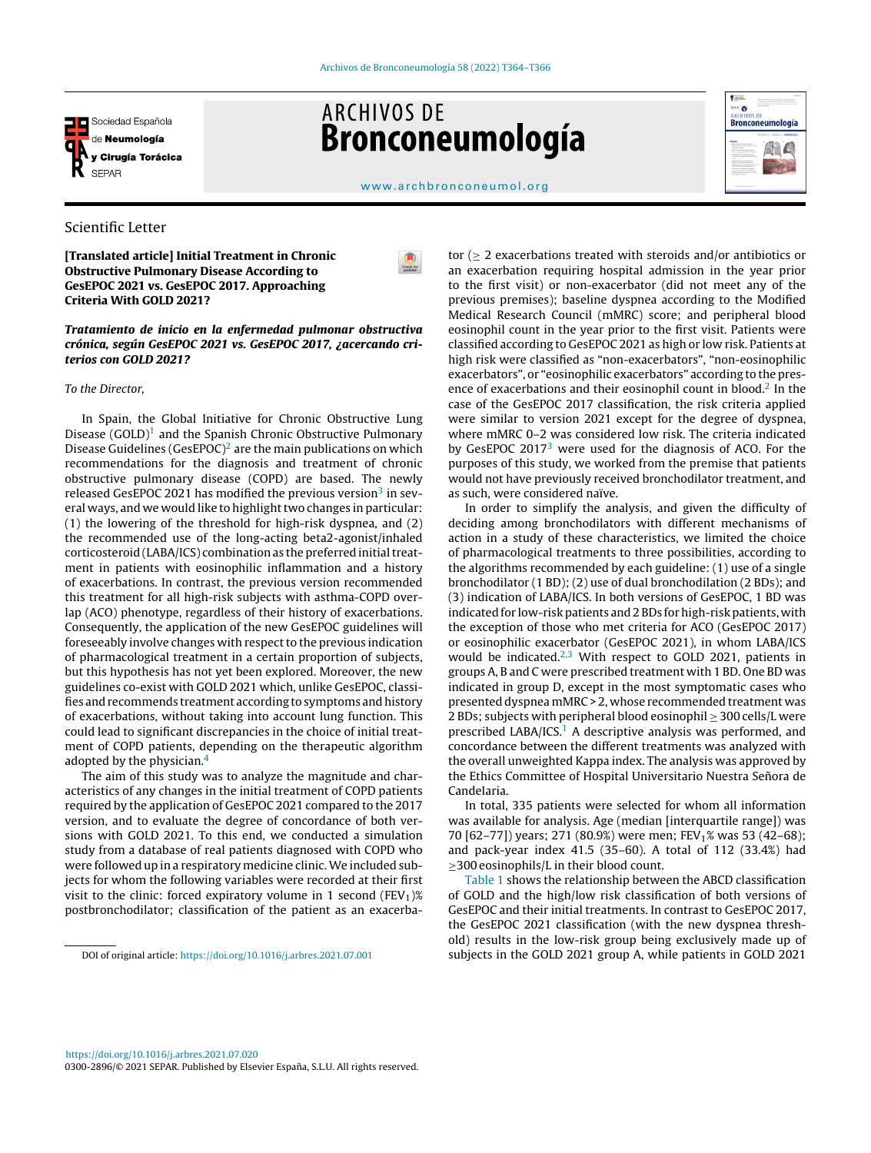

# **ARCHIVOS DE** Bronconeumología



[www.archbronconeumol.org](http://www.archbronconeumol.org)

 $\bullet$ 

# Scientific Letter

[Translated article] Initial Treatment in Chronic Obstructive Pulmonary Disease According to GesEPOC 2021 vs. GesEPOC 2017. Approaching Criteria With GOLD 2021?

## Tratamiento de inicio en la enfermedad pulmonar obstructiva crónica, según GesEPOC 2021 vs. GesEPOC 2017, ¿acercando criterios con GOLD 2021?

## To the Director,

In Spain, the Global Initiative for Chronic Obstructive Lung Disease  $(GOLD)^1$  $(GOLD)^1$  and the Spanish Chronic Obstructive Pulmonary Disease Guidelines (GesEPOC)<sup>[2](#page-1-0)</sup> are the main publications on which recommendations for the diagnosis and treatment of chronic obstructive pulmonary disease (COPD) are based. The newly released GesEPOC 2021 has modified the previous version<sup>[3](#page-1-0)</sup> in several ways, and we would like to highlight two changes in particular: (1) the lowering of the threshold for high-risk dyspnea, and (2) the recommended use of the long-acting beta2-agonist/inhaled corticosteroid (LABA/ICS) combination as the preferred initial treatment in patients with eosinophilic inflammation and a history of exacerbations. In contrast, the previous version recommended this treatment for all high-risk subjects with asthma-COPD overlap (ACO) phenotype, regardless of their history of exacerbations. Consequently, the application of the new GesEPOC guidelines will foreseeably involve changes with respect to the previous indication of pharmacological treatment in a certain proportion of subjects, but this hypothesis has not yet been explored. Moreover, the new guidelines co-exist with GOLD 2021 which, unlike GesEPOC, classifies and recommends treatment according to symptoms and history of exacerbations, without taking into account lung function. This could lead to significant discrepancies in the choice of initial treatment of COPD patients, depending on the therapeutic algorithm adopted by the physician.[4](#page-1-0)

The aim of this study was to analyze the magnitude and characteristics of any changes in the initial treatment of COPD patients required by the application of GesEPOC 2021 compared to the 2017 version, and to evaluate the degree of concordance of both versions with GOLD 2021. To this end, we conducted a simulation study from a database of real patients diagnosed with COPD who were followed up in a respiratory medicine clinic.We included subjects for whom the following variables were recorded at their first visit to the clinic: forced expiratory volume in 1 second (FEV<sub>1</sub>)% postbronchodilator; classification of the patient as an exacerba-

DOI of original article: <https://doi.org/10.1016/j.arbres.2021.07.001>

tor (≥ 2 exacerbations treated with steroids and/or antibiotics or an exacerbation requiring hospital admission in the year prior to the first visit) or non-exacerbator (did not meet any of the previous premises); baseline dyspnea according to the Modified Medical Research Council (mMRC) score; and peripheral blood eosinophil count in the year prior to the first visit. Patients were classified according to GesEPOC 2021 as high or low risk. Patients at high risk were classified as "non-exacerbators", "non-eosinophilic exacerbators", or "eosinophilic exacerbators" according to the pres-ence of exacerbations and their eosinophil count in blood.<sup>[2](#page-1-0)</sup> In the case of the GesEPOC 2017 classification, the risk criteria applied were similar to version 2021 except for the degree of dyspnea, where mMRC 0–2 was considered low risk. The criteria indicated by GesEPOC 2017 $3$  were used for the diagnosis of ACO. For the purposes of this study, we worked from the premise that patients would not have previously received bronchodilator treatment, and as such, were considered naïve.

In order to simplify the analysis, and given the difficulty of deciding among bronchodilators with different mechanisms of action in a study of these characteristics, we limited the choice of pharmacological treatments to three possibilities, according to the algorithms recommended by each guideline: (1) use of a single bronchodilator (1 BD); (2) use of dual bronchodilation (2 BDs); and (3) indication of LABA/ICS. In both versions of GesEPOC, 1 BD was indicated for low-risk patients and 2 BDs for high-risk patients, with the exception of those who met criteria for ACO (GesEPOC 2017) or eosinophilic exacerbator (GesEPOC 2021), in whom LABA/ICS would be indicated. $2,3$  With respect to GOLD 2021, patients in groups A, B and C were prescribed treatment with 1 BD. One BD was indicated in group D, except in the most symptomatic cases who presented dyspnea mMRC > 2, whose recommended treatment was 2 BDs; subjects with peripheral blood eosinophil ≥ 300 cells/L were prescribed LABA/ICS.<sup>[1](#page-1-0)</sup> A descriptive analysis was performed, and concordance between the different treatments was analyzed with the overall unweighted Kappa index. The analysis was approved by the Ethics Committee of Hospital Universitario Nuestra Señora de Candelaria.

In total, 335 patients were selected for whom all information was available for analysis. Age (median [interquartile range]) was 70 [62–77]) years; 271 (80.9%) were men; FEV<sub>1</sub>% was 53 (42–68); and pack-year index 41.5 (35–60). A total of 112 (33.4%) had ≥300 eosinophils/L in their blood count.

[Table](#page-1-0) 1 shows the relationship between the ABCD classification of GOLD and the high/low risk classification of both versions of GesEPOC and their initial treatments. In contrast to GesEPOC 2017, the GesEPOC 2021 classification (with the new dyspnea threshold) results in the low-risk group being exclusively made up of subjects in the GOLD 2021 group A, while patients in GOLD 2021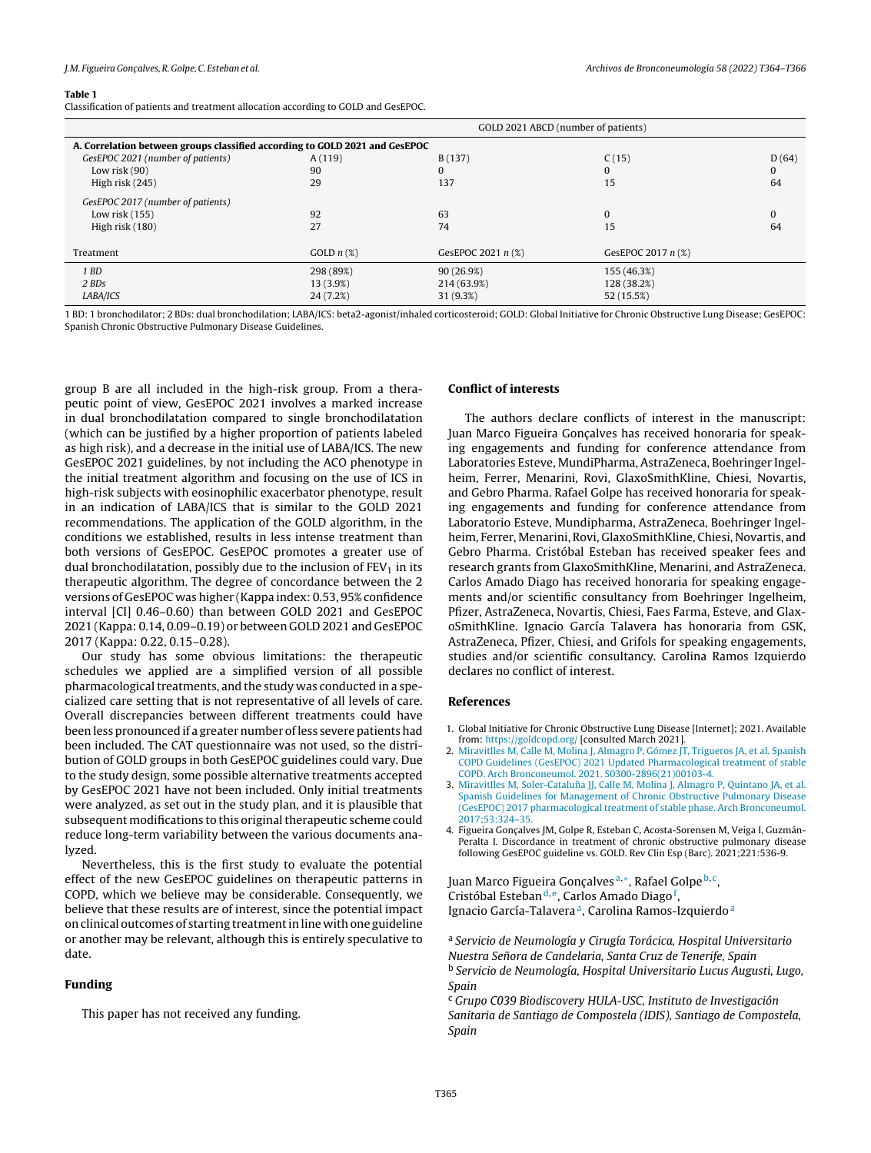#### <span id="page-1-0"></span>Table 1

Classification of patients and treatment allocation according to GOLD and GesEPOC.

|                                                                             | GOLD 2021 ABCD (number of patients) |                      |                    |       |
|-----------------------------------------------------------------------------|-------------------------------------|----------------------|--------------------|-------|
| A. Correlation between groups classified according to GOLD 2021 and GesEPOC |                                     |                      |                    |       |
| GesEPOC 2021 (number of patients)                                           | A(119)                              | B(137)               | C(15)              | D(64) |
| Low risk $(90)$                                                             | 90                                  |                      | $\Omega$           |       |
| High risk (245)                                                             | 29                                  | 137                  | 15                 | 64    |
| GesEPOC 2017 (number of patients)                                           |                                     |                      |                    |       |
| Low risk $(155)$                                                            | 92                                  | 63                   | $\Omega$           |       |
| High risk (180)                                                             | 27                                  | 74                   | 15                 | 64    |
| Treatment                                                                   | GOLD $n$ (%)                        | GesEPOC 2021 $n$ (%) | GesEPOC 2017 n (%) |       |
| 1 BD                                                                        | 298 (89%)                           | 90 (26.9%)           | 155 (46.3%)        |       |
| 2 BDs                                                                       | 13 (3.9%)                           | 214 (63.9%)          | 128 (38.2%)        |       |
| LABA/ICS                                                                    | 24(7.2%)                            | 31 (9.3%)            | 52 (15.5%)         |       |

1 BD: 1 bronchodilator; 2 BDs: dual bronchodilation; LABA/ICS: beta2-agonist/inhaled corticosteroid; GOLD: Global Initiative for Chronic Obstructive Lung Disease; GesEPOC: Spanish Chronic Obstructive Pulmonary Disease Guidelines.

group B are all included in the high-risk group. From a therapeutic point of view, GesEPOC 2021 involves a marked increase in dual bronchodilatation compared to single bronchodilatation (which can be justified by a higher proportion of patients labeled as high risk), and a decrease in the initial use of LABA/ICS. The new GesEPOC 2021 guidelines, by not including the ACO phenotype in the initial treatment algorithm and focusing on the use of ICS in high-risk subjects with eosinophilic exacerbator phenotype, result in an indication of LABA/ICS that is similar to the GOLD 2021 recommendations. The application of the GOLD algorithm, in the conditions we established, results in less intense treatment than both versions of GesEPOC. GesEPOC promotes a greater use of dual bronchodilatation, possibly due to the inclusion of  $FEV<sub>1</sub>$  in its therapeutic algorithm. The degree of concordance between the 2 versions of GesEPOC was higher (Kappa index: 0.53, 95% confidence interval [CI] 0.46–0.60) than between GOLD 2021 and GesEPOC 2021 (Kappa: 0.14, 0.09–0.19) or between GOLD 2021 and GesEPOC 2017 (Kappa: 0.22, 0.15–0.28).

Our study has some obvious limitations: the therapeutic schedules we applied are a simplified version of all possible pharmacological treatments, and the study was conducted in a specialized care setting that is not representative of all levels of care. Overall discrepancies between different treatments could have been less pronounced if a greater number ofless severe patients had been included. The CAT questionnaire was not used, so the distribution of GOLD groups in both GesEPOC guidelines could vary. Due to the study design, some possible alternative treatments accepted by GesEPOC 2021 have not been included. Only initial treatments were analyzed, as set out in the study plan, and it is plausible that subsequent modifications to this original therapeutic scheme could reduce long-term variability between the various documents analyzed.

Nevertheless, this is the first study to evaluate the potential effect of the new GesEPOC guidelines on therapeutic patterns in COPD, which we believe may be considerable. Consequently, we believe that these results are of interest, since the potential impact on clinical outcomes of starting treatmentin line with one guideline or another may be relevant, although this is entirely speculative to date.

## Funding

This paper has not received any funding.

## Conflict of interests

The authors declare conflicts of interest in the manuscript: Juan Marco Figueira Goncalves has received honoraria for speaking engagements and funding for conference attendance from Laboratories Esteve, MundiPharma, AstraZeneca, Boehringer Ingelheim, Ferrer, Menarini, Rovi, GlaxoSmithKline, Chiesi, Novartis, and Gebro Pharma. Rafael Golpe has received honoraria for speaking engagements and funding for conference attendance from Laboratorio Esteve, Mundipharma, AstraZeneca, Boehringer Ingelheim, Ferrer, Menarini, Rovi, GlaxoSmithKline, Chiesi, Novartis, and Gebro Pharma. Cristóbal Esteban has received speaker fees and research grants from GlaxoSmithKline, Menarini, and AstraZeneca. Carlos Amado Diago has received honoraria for speaking engagements and/or scientific consultancy from Boehringer Ingelheim, Pfizer, AstraZeneca, Novartis, Chiesi, Faes Farma, Esteve, and GlaxoSmithKline. Ignacio García Talavera has honoraria from GSK, AstraZeneca, Pfizer, Chiesi, and Grifols for speaking engagements, studies and/or scientific consultancy. Carolina Ramos Izquierdo declares no conflict of interest.

## References

- 1. Global Initiative for Chronic Obstructive Lung Disease [Internet]; 2021. Available from: <https://goldcopd.org/> [consulted March 2021].
- 2. [Miravitlles](http://refhub.elsevier.com/S0300-2896(22)00175-2/sbref0030) [M,](http://refhub.elsevier.com/S0300-2896(22)00175-2/sbref0030) [Calle](http://refhub.elsevier.com/S0300-2896(22)00175-2/sbref0030) [M,](http://refhub.elsevier.com/S0300-2896(22)00175-2/sbref0030) [Molina](http://refhub.elsevier.com/S0300-2896(22)00175-2/sbref0030) [J,](http://refhub.elsevier.com/S0300-2896(22)00175-2/sbref0030) [Almagro](http://refhub.elsevier.com/S0300-2896(22)00175-2/sbref0030) [P,](http://refhub.elsevier.com/S0300-2896(22)00175-2/sbref0030) [Gómez](http://refhub.elsevier.com/S0300-2896(22)00175-2/sbref0030) [JT,](http://refhub.elsevier.com/S0300-2896(22)00175-2/sbref0030) [Trigueros](http://refhub.elsevier.com/S0300-2896(22)00175-2/sbref0030) [JA,](http://refhub.elsevier.com/S0300-2896(22)00175-2/sbref0030) [et](http://refhub.elsevier.com/S0300-2896(22)00175-2/sbref0030) [al.](http://refhub.elsevier.com/S0300-2896(22)00175-2/sbref0030) [Spanish](http://refhub.elsevier.com/S0300-2896(22)00175-2/sbref0030) [COPD](http://refhub.elsevier.com/S0300-2896(22)00175-2/sbref0030) [Guidelines](http://refhub.elsevier.com/S0300-2896(22)00175-2/sbref0030) [\(GesEPOC\)](http://refhub.elsevier.com/S0300-2896(22)00175-2/sbref0030) [2021](http://refhub.elsevier.com/S0300-2896(22)00175-2/sbref0030) [Updated](http://refhub.elsevier.com/S0300-2896(22)00175-2/sbref0030) [Pharmacological](http://refhub.elsevier.com/S0300-2896(22)00175-2/sbref0030) [treatment](http://refhub.elsevier.com/S0300-2896(22)00175-2/sbref0030) [of](http://refhub.elsevier.com/S0300-2896(22)00175-2/sbref0030) [stable](http://refhub.elsevier.com/S0300-2896(22)00175-2/sbref0030)
- [COPD.](http://refhub.elsevier.com/S0300-2896(22)00175-2/sbref0030) [Arch](http://refhub.elsevier.com/S0300-2896(22)00175-2/sbref0030) [Bronconeumol.](http://refhub.elsevier.com/S0300-2896(22)00175-2/sbref0030) [2021.](http://refhub.elsevier.com/S0300-2896(22)00175-2/sbref0030) [S0300-2896\(21\)00103-4.](http://refhub.elsevier.com/S0300-2896(22)00175-2/sbref0030) 3. [Miravitlles](http://refhub.elsevier.com/S0300-2896(22)00175-2/sbref0035) [M,](http://refhub.elsevier.com/S0300-2896(22)00175-2/sbref0035) [Soler-Cataluna˜](http://refhub.elsevier.com/S0300-2896(22)00175-2/sbref0035) [JJ,](http://refhub.elsevier.com/S0300-2896(22)00175-2/sbref0035) [Calle](http://refhub.elsevier.com/S0300-2896(22)00175-2/sbref0035) [M,](http://refhub.elsevier.com/S0300-2896(22)00175-2/sbref0035) [Molina](http://refhub.elsevier.com/S0300-2896(22)00175-2/sbref0035) [J,](http://refhub.elsevier.com/S0300-2896(22)00175-2/sbref0035) [Almagro](http://refhub.elsevier.com/S0300-2896(22)00175-2/sbref0035) [P,](http://refhub.elsevier.com/S0300-2896(22)00175-2/sbref0035) [Quintano](http://refhub.elsevier.com/S0300-2896(22)00175-2/sbref0035) [JA,](http://refhub.elsevier.com/S0300-2896(22)00175-2/sbref0035) [et](http://refhub.elsevier.com/S0300-2896(22)00175-2/sbref0035) [al.](http://refhub.elsevier.com/S0300-2896(22)00175-2/sbref0035) [Spanish](http://refhub.elsevier.com/S0300-2896(22)00175-2/sbref0035) [Guidelines](http://refhub.elsevier.com/S0300-2896(22)00175-2/sbref0035) [for](http://refhub.elsevier.com/S0300-2896(22)00175-2/sbref0035) [Management](http://refhub.elsevier.com/S0300-2896(22)00175-2/sbref0035) [of](http://refhub.elsevier.com/S0300-2896(22)00175-2/sbref0035) [Chronic](http://refhub.elsevier.com/S0300-2896(22)00175-2/sbref0035) [Obstructive](http://refhub.elsevier.com/S0300-2896(22)00175-2/sbref0035) [Pulmonary](http://refhub.elsevier.com/S0300-2896(22)00175-2/sbref0035) [Disease](http://refhub.elsevier.com/S0300-2896(22)00175-2/sbref0035) [\(GesEPOC\)](http://refhub.elsevier.com/S0300-2896(22)00175-2/sbref0035) [2017](http://refhub.elsevier.com/S0300-2896(22)00175-2/sbref0035) [pharmacological](http://refhub.elsevier.com/S0300-2896(22)00175-2/sbref0035) [treatment](http://refhub.elsevier.com/S0300-2896(22)00175-2/sbref0035) [of](http://refhub.elsevier.com/S0300-2896(22)00175-2/sbref0035) [stable](http://refhub.elsevier.com/S0300-2896(22)00175-2/sbref0035) [phase.](http://refhub.elsevier.com/S0300-2896(22)00175-2/sbref0035) [Arch](http://refhub.elsevier.com/S0300-2896(22)00175-2/sbref0035) [Bronconeumol.](http://refhub.elsevier.com/S0300-2896(22)00175-2/sbref0035) [2017;53:324–35.](http://refhub.elsevier.com/S0300-2896(22)00175-2/sbref0035)
- 4. Figueira Gonçalves JM, Golpe R, Esteban C, Acosta-Sorensen M, Veiga I, Guzmán-Peralta I. Discordance in treatment of chronic obstructive pulmonary disease following GesEPOC guideline vs. GOLD. Rev Clin Esp (Barc). 2021;221:536-9.

Juan Marco Figueira Gonçalves <sup>a,</sup>\*, [Raf](#page-2-0)ael [Golpe](#page-2-0) <sup>b,c</sup>, Cristóbal Est[e](#page-2-0)ban<sup>d, e</sup>, [Car](#page-2-0)los Amado Diago<sup>f</sup>, Ignacio García-Talavera<sup>a</sup>, Carolina Ramos-Izquierdo<sup>a</sup>

<sup>a</sup> Servicio de Neumología y Cirugía Torácica, Hospital Universitario Nuestra Se˜nora de Candelaria, Santa Cruz de Tenerife, Spain <sup>b</sup> Servicio de Neumología, Hospital Universitario Lucus Augusti, Lugo, Spain

<sup>c</sup> Grupo C039 Biodiscovery HULA-USC, Instituto de Investigación Sanitaria de Santiago de Compostela (IDIS), Santiago de Compostela, Spain